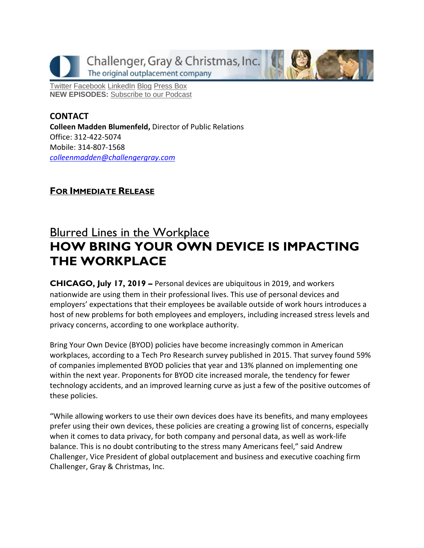Challenger, Gray & Christmas, Inc. The original outplacement company

[Twitter](https://twitter.com/#!/ChallengerGray) [Facebook](https://www.facebook.com/ChallengerGray) [LinkedIn](http://www.linkedin.com/company/28264?trk=tyah) [Blog](http://www.challengergray.com/press/blog) [Press](http://www.challengergray.com/press/press-releases) Box **NEW EPISODES:** [Subscribe](https://itunes.apple.com/us/podcast/challenger-podcast-hr-passport/id1155541697?mt=2) to our Podcast

**CONTACT Colleen Madden Blumenfeld,** Director of Public Relations Office: 312-422-5074 Mobile: 314-807-1568 *[colleenmadden@challengergray.com](mailto:colleenmadden@challengergray.com)* 

## **FOR IMMEDIATE RELEASE**

## **Blurred Lines in the Workplace HOW BRING YOUR OWN DEVICE IS IMPACTING THE WORKPLACE**

**CHICAGO, July 17, 2019 –** Personal devices are ubiquitous in 2019, and workers nationwide are using them in their professional lives. This use of personal devices and employers' expectations that their employees be available outside of work hours introduces a host of new problems for both employees and employers, including increased stress levels and privacy concerns, according to one workplace authority.

Bring Your Own Device (BYOD) policies have become increasingly common in American workplaces, according to a Tech Pro Research survey published in 2015. That survey found 59% of companies implemented BYOD policies that year and 13% planned on implementing one within the next year. Proponents for BYOD cite increased morale, the tendency for fewer technology accidents, and an improved learning curve as just a few of the positive outcomes of these policies.

"While allowing workers to use their own devices does have its benefits, and many employees prefer using their own devices, these policies are creating a growing list of concerns, especially when it comes to data privacy, for both company and personal data, as well as work-life balance. This is no doubt contributing to the stress many Americans feel," said Andrew Challenger, Vice President of global outplacement and business and executive coaching firm Challenger, Gray & Christmas, Inc.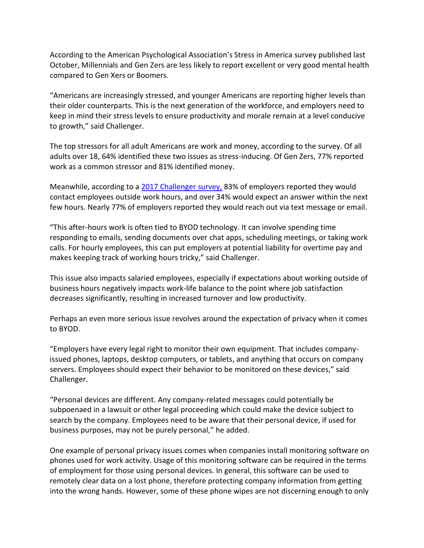According to the American Psychological Association's Stress in America survey published last October, Millennials and Gen Zers are less likely to report excellent or very good mental health compared to Gen Xers or Boomers.

"Americans are increasingly stressed, and younger Americans are reporting higher levels than their older counterparts. This is the next generation of the workforce, and employers need to keep in mind their stress levels to ensure productivity and morale remain at a level conducive to growth," said Challenger.

The top stressors for all adult Americans are work and money, according to the survey. Of all adults over 18, 64% identified these two issues as stress-inducing. Of Gen Zers, 77% reported work as a common stressor and 81% identified money.

Meanwhile, according to a [2017 Challenger survey,](https://www.challengergray.com/press/press-releases/are-you-digital-dictator) 83% of employers reported they would contact employees outside work hours, and over 34% would expect an answer within the next few hours. Nearly 77% of employers reported they would reach out via text message or email.

"This after-hours work is often tied to BYOD technology. It can involve spending time responding to emails, sending documents over chat apps, scheduling meetings, or taking work calls. For hourly employees, this can put employers at potential liability for overtime pay and makes keeping track of working hours tricky," said Challenger.

This issue also impacts salaried employees, especially if expectations about working outside of business hours negatively impacts work-life balance to the point where job satisfaction decreases significantly, resulting in increased turnover and low productivity.

Perhaps an even more serious issue revolves around the expectation of privacy when it comes to BYOD.

"Employers have every legal right to monitor their own equipment. That includes companyissued phones, laptops, desktop computers, or tablets, and anything that occurs on company servers. Employees should expect their behavior to be monitored on these devices," said Challenger.

"Personal devices are different. Any company-related messages could potentially be subpoenaed in a lawsuit or other legal proceeding which could make the device subject to search by the company. Employees need to be aware that their personal device, if used for business purposes, may not be purely personal," he added.

One example of personal privacy issues comes when companies install monitoring software on phones used for work activity. Usage of this monitoring software can be required in the terms of employment for those using personal devices. In general, this software can be used to remotely clear data on a lost phone, therefore protecting company information from getting into the wrong hands. However, some of these phone wipes are not discerning enough to only